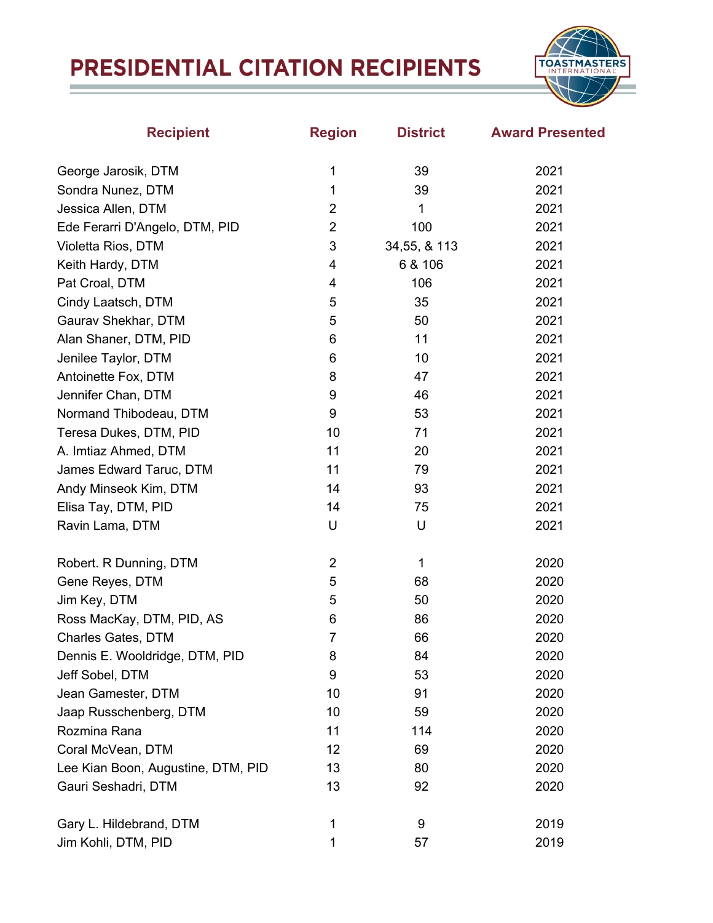## PRESIDENTIAL CITATION RECIPIENTS



| <b>Recipient</b>                   | <b>Region</b>  | <b>District</b> | <b>Award Presented</b> |
|------------------------------------|----------------|-----------------|------------------------|
| George Jarosik, DTM                | 1              | 39              | 2021                   |
| Sondra Nunez, DTM                  | 1              | 39              | 2021                   |
| Jessica Allen, DTM                 | $\overline{2}$ | 1               | 2021                   |
| Ede Ferarri D'Angelo, DTM, PID     | $\overline{2}$ | 100             | 2021                   |
| Violetta Rios, DTM                 | 3              | 34,55, & 113    | 2021                   |
| Keith Hardy, DTM                   | 4              | 6 & 106         | 2021                   |
| Pat Croal, DTM                     | 4              | 106             | 2021                   |
| Cindy Laatsch, DTM                 | 5              | 35              | 2021                   |
| Gaurav Shekhar, DTM                | 5              | 50              | 2021                   |
| Alan Shaner, DTM, PID              | 6              | 11              | 2021                   |
| Jenilee Taylor, DTM                | 6              | 10              | 2021                   |
| Antoinette Fox, DTM                | 8              | 47              | 2021                   |
| Jennifer Chan, DTM                 | 9              | 46              | 2021                   |
| Normand Thibodeau, DTM             | 9              | 53              | 2021                   |
| Teresa Dukes, DTM, PID             | 10             | 71              | 2021                   |
| A. Imtiaz Ahmed, DTM               | 11             | 20              | 2021                   |
| James Edward Taruc, DTM            | 11             | 79              | 2021                   |
| Andy Minseok Kim, DTM              | 14             | 93              | 2021                   |
| Elisa Tay, DTM, PID                | 14             | 75              | 2021                   |
| Ravin Lama, DTM                    | U              | U               | 2021                   |
| Robert. R Dunning, DTM             | $\overline{2}$ | 1               | 2020                   |
| Gene Reyes, DTM                    | 5              | 68              | 2020                   |
| Jim Key, DTM                       | 5              | 50              | 2020                   |
| Ross MacKay, DTM, PID, AS          | 6              | 86              | 2020                   |
| <b>Charles Gates, DTM</b>          | $\overline{7}$ | 66              | 2020                   |
| Dennis E. Wooldridge, DTM, PID     | 8              | 84              | 2020                   |
| Jeff Sobel, DTM                    | 9              | 53              | 2020                   |
| Jean Gamester, DTM                 | 10             | 91              | 2020                   |
| Jaap Russchenberg, DTM             | 10             | 59              | 2020                   |
| Rozmina Rana                       | 11             | 114             | 2020                   |
| Coral McVean, DTM                  | 12             | 69              | 2020                   |
| Lee Kian Boon, Augustine, DTM, PID | 13             | 80              | 2020                   |
| Gauri Seshadri, DTM                | 13             | 92              | 2020                   |
| Gary L. Hildebrand, DTM            | 1              | 9               | 2019                   |
| Jim Kohli, DTM, PID                | 1              | 57              | 2019                   |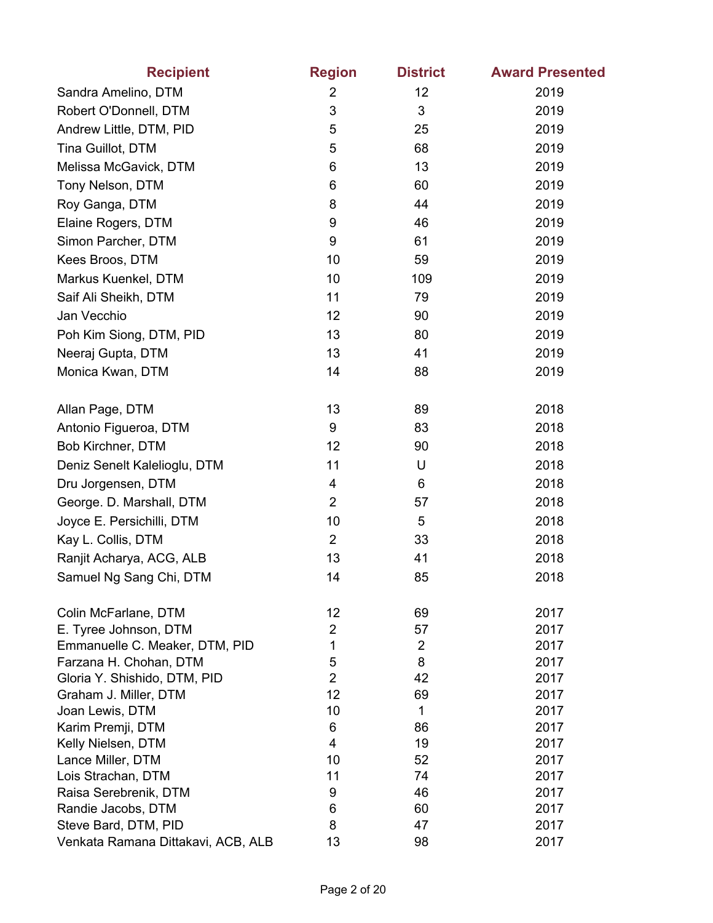| <b>Recipient</b>                         | <b>Region</b>        | <b>District</b> | <b>Award Presented</b> |
|------------------------------------------|----------------------|-----------------|------------------------|
| Sandra Amelino, DTM                      | $\overline{2}$       | 12              | 2019                   |
| Robert O'Donnell, DTM                    | 3                    | 3               | 2019                   |
| Andrew Little, DTM, PID                  | 5                    | 25              | 2019                   |
| Tina Guillot, DTM                        | 5                    | 68              | 2019                   |
| Melissa McGavick, DTM                    | 6                    | 13              | 2019                   |
| Tony Nelson, DTM                         | 6                    | 60              | 2019                   |
| Roy Ganga, DTM                           | 8                    | 44              | 2019                   |
| Elaine Rogers, DTM                       | 9                    | 46              | 2019                   |
| Simon Parcher, DTM                       | 9                    | 61              | 2019                   |
| Kees Broos, DTM                          | 10                   | 59              | 2019                   |
| Markus Kuenkel, DTM                      | 10                   | 109             | 2019                   |
| Saif Ali Sheikh, DTM                     | 11                   | 79              | 2019                   |
| Jan Vecchio                              | 12                   | 90              | 2019                   |
|                                          | 13                   | 80              | 2019                   |
| Poh Kim Siong, DTM, PID                  |                      |                 |                        |
| Neeraj Gupta, DTM                        | 13                   | 41              | 2019                   |
| Monica Kwan, DTM                         | 14                   | 88              | 2019                   |
| Allan Page, DTM                          | 13                   | 89              | 2018                   |
| Antonio Figueroa, DTM                    | 9                    | 83              | 2018                   |
| Bob Kirchner, DTM                        | 12                   | 90              | 2018                   |
| Deniz Senelt Kalelioglu, DTM             | 11                   | U               | 2018                   |
| Dru Jorgensen, DTM                       | 4                    | 6               | 2018                   |
| George. D. Marshall, DTM                 | $\overline{2}$       | 57              | 2018                   |
| Joyce E. Persichilli, DTM                | 10                   | 5               | 2018                   |
| Kay L. Collis, DTM                       | $\overline{2}$       | 33              | 2018                   |
| Ranjit Acharya, ACG, ALB                 | 13                   | 41              | 2018                   |
| Samuel Ng Sang Chi, DTM                  | 14                   | 85              | 2018                   |
|                                          |                      |                 |                        |
| Colin McFarlane, DTM                     | 12                   | 69              | 2017                   |
| E. Tyree Johnson, DTM                    | $\overline{2}$       | 57              | 2017                   |
| Emmanuelle C. Meaker, DTM, PID           | 1                    | $\overline{2}$  | 2017                   |
| Farzana H. Chohan, DTM                   | 5                    | 8               | 2017                   |
| Gloria Y. Shishido, DTM, PID             | $\overline{2}$<br>12 | 42<br>69        | 2017<br>2017           |
| Graham J. Miller, DTM<br>Joan Lewis, DTM | 10                   | 1               | 2017                   |
| Karim Premji, DTM                        | 6                    | 86              | 2017                   |
| Kelly Nielsen, DTM                       | 4                    | 19              | 2017                   |
| Lance Miller, DTM                        | 10                   | 52              | 2017                   |
| Lois Strachan, DTM                       | 11                   | 74              | 2017                   |
| Raisa Serebrenik, DTM                    | 9                    | 46              | 2017                   |
| Randie Jacobs, DTM                       | 6                    | 60              | 2017                   |
| Steve Bard, DTM, PID                     | 8                    | 47              | 2017                   |
| Venkata Ramana Dittakavi, ACB, ALB       | 13                   | 98              | 2017                   |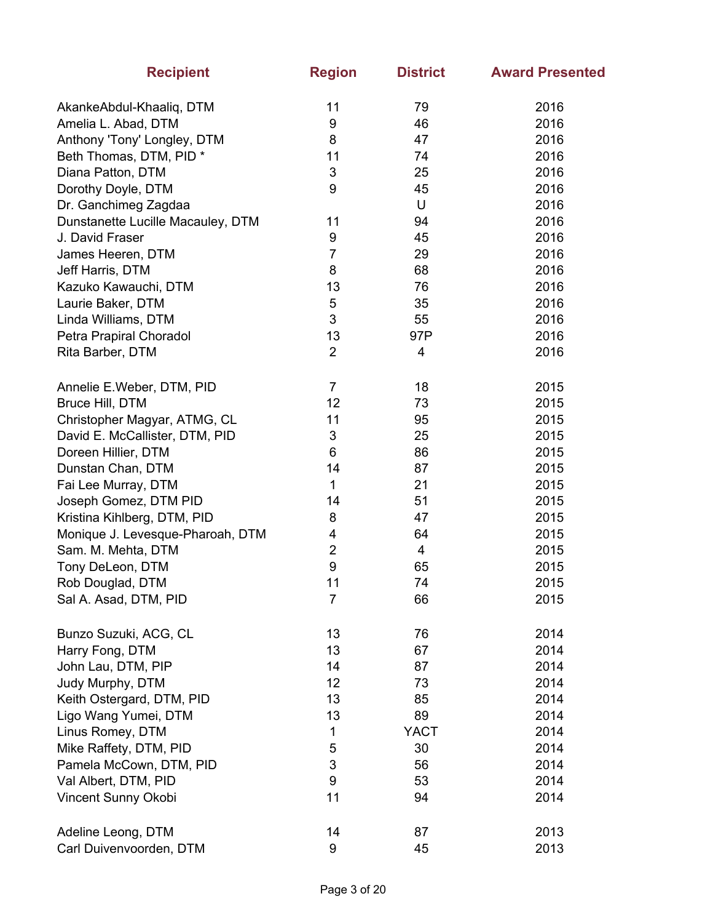| <b>Recipient</b>                  | <b>Region</b>  | <b>District</b> | <b>Award Presented</b> |
|-----------------------------------|----------------|-----------------|------------------------|
| AkankeAbdul-Khaaliq, DTM          | 11             | 79              | 2016                   |
| Amelia L. Abad, DTM               | 9              | 46              | 2016                   |
| Anthony 'Tony' Longley, DTM       | 8              | 47              | 2016                   |
| Beth Thomas, DTM, PID *           | 11             | 74              | 2016                   |
| Diana Patton, DTM                 | 3              | 25              | 2016                   |
| Dorothy Doyle, DTM                | 9              | 45              | 2016                   |
| Dr. Ganchimeg Zagdaa              |                | U               | 2016                   |
| Dunstanette Lucille Macauley, DTM | 11             | 94              | 2016                   |
| J. David Fraser                   | 9              | 45              | 2016                   |
| James Heeren, DTM                 | $\overline{7}$ | 29              | 2016                   |
| Jeff Harris, DTM                  | 8              | 68              | 2016                   |
| Kazuko Kawauchi, DTM              | 13             | 76              | 2016                   |
| Laurie Baker, DTM                 | $\sqrt{5}$     | 35              | 2016                   |
| Linda Williams, DTM               | 3              | 55              | 2016                   |
| Petra Prapiral Choradol           | 13             | 97P             | 2016                   |
| Rita Barber, DTM                  | $\overline{2}$ | 4               | 2016                   |
| Annelie E.Weber, DTM, PID         | $\overline{7}$ | 18              | 2015                   |
| Bruce Hill, DTM                   | 12             | 73              | 2015                   |
| Christopher Magyar, ATMG, CL      | 11             | 95              | 2015                   |
| David E. McCallister, DTM, PID    | 3              | 25              | 2015                   |
| Doreen Hillier, DTM               | 6              | 86              | 2015                   |
| Dunstan Chan, DTM                 | 14             | 87              | 2015                   |
| Fai Lee Murray, DTM               | 1              | 21              | 2015                   |
| Joseph Gomez, DTM PID             | 14             | 51              | 2015                   |
| Kristina Kihlberg, DTM, PID       | 8              | 47              | 2015                   |
| Monique J. Levesque-Pharoah, DTM  | 4              | 64              | 2015                   |
| Sam. M. Mehta, DTM                | $\mathbf 2$    | 4               | 2015                   |
| Tony DeLeon, DTM                  | 9              | 65              | 2015                   |
| Rob Douglad, DTM                  | 11             | 74              | 2015                   |
| Sal A. Asad, DTM, PID             | 7              | 66              | 2015                   |
| Bunzo Suzuki, ACG, CL             | 13             | 76              | 2014                   |
| Harry Fong, DTM                   | 13             | 67              | 2014                   |
| John Lau, DTM, PIP                | 14             | 87              | 2014                   |
| Judy Murphy, DTM                  | 12             | 73              | 2014                   |
| Keith Ostergard, DTM, PID         | 13             | 85              | 2014                   |
| Ligo Wang Yumei, DTM              | 13             | 89              | 2014                   |
| Linus Romey, DTM                  | 1              | <b>YACT</b>     | 2014                   |
| Mike Raffety, DTM, PID            | 5              | 30              | 2014                   |
| Pamela McCown, DTM, PID           | 3              | 56              | 2014                   |
| Val Albert, DTM, PID              | 9              | 53              | 2014                   |
| Vincent Sunny Okobi               | 11             | 94              | 2014                   |
| Adeline Leong, DTM                | 14             | 87              | 2013                   |
| Carl Duivenvoorden, DTM           | 9              | 45              | 2013                   |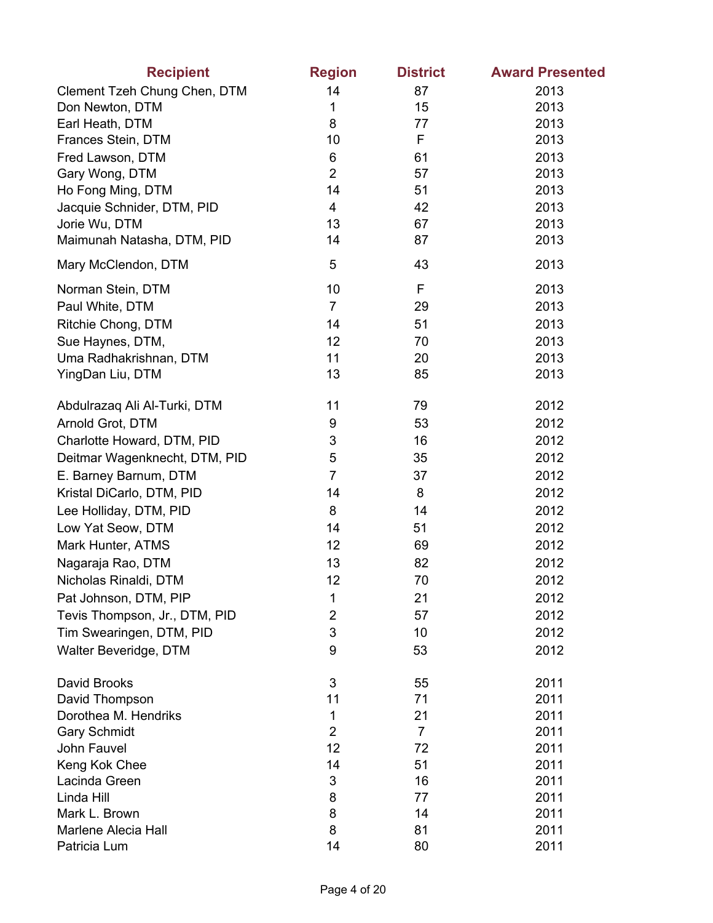| <b>Recipient</b>                       | <b>Region</b>       | <b>District</b> | <b>Award Presented</b> |
|----------------------------------------|---------------------|-----------------|------------------------|
| Clement Tzeh Chung Chen, DTM           | 14                  | 87              | 2013                   |
| Don Newton, DTM                        | 1                   | 15              | 2013                   |
| Earl Heath, DTM                        | 8                   | 77              | 2013                   |
| Frances Stein, DTM                     | 10                  | F               | 2013                   |
| Fred Lawson, DTM                       | 6                   | 61              | 2013                   |
| Gary Wong, DTM                         | $\overline{2}$      | 57              | 2013                   |
| Ho Fong Ming, DTM                      | 14                  | 51              | 2013                   |
| Jacquie Schnider, DTM, PID             | 4                   | 42              | 2013                   |
| Jorie Wu, DTM                          | 13                  | 67              | 2013                   |
| Maimunah Natasha, DTM, PID             | 14                  | 87              | 2013                   |
| Mary McClendon, DTM                    | 5                   | 43              | 2013                   |
| Norman Stein, DTM                      | 10                  | F               | 2013                   |
| Paul White, DTM                        | $\overline{7}$      | 29              | 2013                   |
| Ritchie Chong, DTM                     | 14                  | 51              | 2013                   |
| Sue Haynes, DTM,                       | 12                  | 70              | 2013                   |
| Uma Radhakrishnan, DTM                 | 11                  | 20              | 2013                   |
| YingDan Liu, DTM                       | 13                  | 85              | 2013                   |
| Abdulrazaq Ali Al-Turki, DTM           | 11                  | 79              | 2012                   |
| Arnold Grot, DTM                       | 9                   | 53              | 2012                   |
| Charlotte Howard, DTM, PID             | 3                   | 16              | 2012                   |
| Deitmar Wagenknecht, DTM, PID          | 5                   | 35              | 2012                   |
| E. Barney Barnum, DTM                  | $\overline{7}$      | 37              | 2012                   |
| Kristal DiCarlo, DTM, PID              | 14                  | 8               | 2012                   |
| Lee Holliday, DTM, PID                 | 8                   | 14              | 2012                   |
| Low Yat Seow, DTM                      | 14                  | 51              | 2012                   |
| Mark Hunter, ATMS                      | 12                  | 69              | 2012                   |
| Nagaraja Rao, DTM                      | 13                  | 82              | 2012                   |
| Nicholas Rinaldi, DTM                  | 12                  | 70              | 2012                   |
| Pat Johnson, DTM, PIP                  | 1                   | 21              | 2012                   |
| Tevis Thompson, Jr., DTM, PID          | $\overline{2}$      | 57              | 2012                   |
| Tim Swearingen, DTM, PID               | 3                   | 10              | 2012                   |
| Walter Beveridge, DTM                  | 9                   | 53              | 2012                   |
| David Brooks                           | 3                   |                 |                        |
|                                        | 11                  | 55<br>71        | 2011<br>2011           |
| David Thompson<br>Dorothea M. Hendriks |                     | 21              | 2011                   |
| <b>Gary Schmidt</b>                    | 1<br>$\overline{2}$ | $\overline{7}$  | 2011                   |
| John Fauvel                            | 12                  | 72              | 2011                   |
| Keng Kok Chee                          | 14                  | 51              | 2011                   |
| Lacinda Green                          | 3                   | 16              | 2011                   |
| Linda Hill                             | 8                   | 77              | 2011                   |
| Mark L. Brown                          | 8                   | 14              | 2011                   |
| Marlene Alecia Hall                    | 8                   | 81              | 2011                   |
| Patricia Lum                           | 14                  | 80              | 2011                   |
|                                        |                     |                 |                        |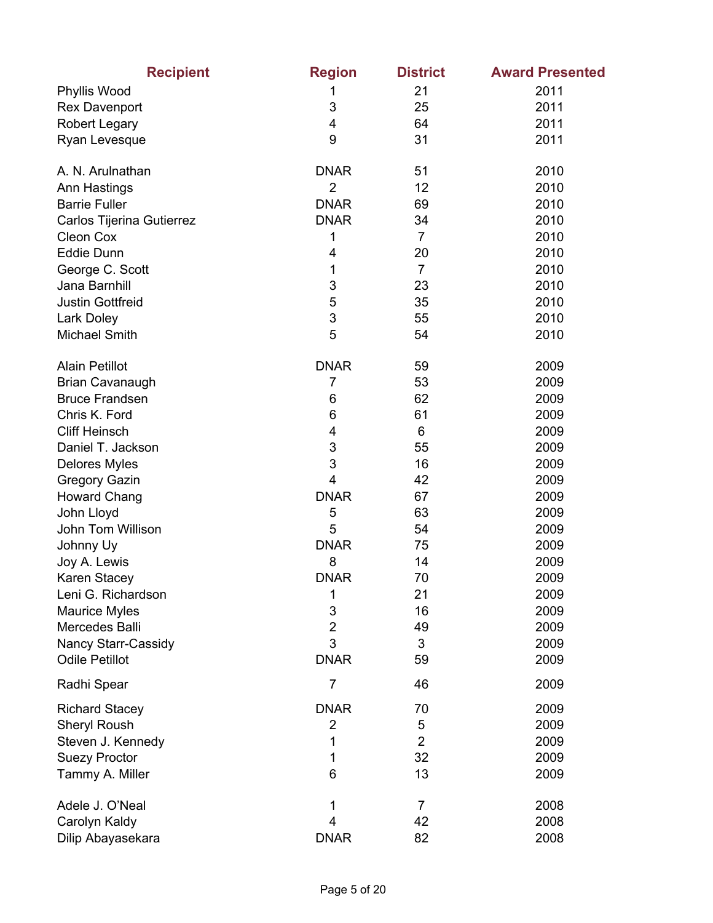| <b>Recipient</b>          | <b>Region</b>  | <b>District</b> | <b>Award Presented</b> |
|---------------------------|----------------|-----------------|------------------------|
| Phyllis Wood              | 1              | 21              | 2011                   |
| <b>Rex Davenport</b>      | 3              | 25              | 2011                   |
| <b>Robert Legary</b>      | 4              | 64              | 2011                   |
| Ryan Levesque             | 9              | 31              | 2011                   |
| A. N. Arulnathan          | <b>DNAR</b>    | 51              | 2010                   |
| Ann Hastings              | $\overline{2}$ | 12              | 2010                   |
| <b>Barrie Fuller</b>      | <b>DNAR</b>    | 69              | 2010                   |
| Carlos Tijerina Gutierrez | <b>DNAR</b>    | 34              | 2010                   |
| Cleon Cox                 | 1              | $\overline{7}$  | 2010                   |
| <b>Eddie Dunn</b>         | 4              | 20              | 2010                   |
| George C. Scott           | 1              | $\overline{7}$  | 2010                   |
| Jana Barnhill             | 3              | 23              | 2010                   |
| <b>Justin Gottfreid</b>   | 5              | 35              | 2010                   |
| Lark Doley                | 3              | 55              | 2010                   |
| <b>Michael Smith</b>      | 5              | 54              | 2010                   |
| <b>Alain Petillot</b>     | <b>DNAR</b>    | 59              | 2009                   |
| <b>Brian Cavanaugh</b>    | $\overline{7}$ | 53              | 2009                   |
| <b>Bruce Frandsen</b>     | 6              | 62              | 2009                   |
| Chris K. Ford             | 6              | 61              | 2009                   |
| <b>Cliff Heinsch</b>      | 4              | 6               | 2009                   |
| Daniel T. Jackson         | 3              | 55              | 2009                   |
| Delores Myles             | 3              | 16              | 2009                   |
| <b>Gregory Gazin</b>      | 4              | 42              | 2009                   |
| <b>Howard Chang</b>       | <b>DNAR</b>    | 67              | 2009                   |
| John Lloyd                | 5              | 63              | 2009                   |
| John Tom Willison         | 5              | 54              | 2009                   |
| Johnny Uy                 | <b>DNAR</b>    | 75              | 2009                   |
| Joy A. Lewis              | 8              | 14              | 2009                   |
| Karen Stacey              | <b>DNAR</b>    | 70              | 2009                   |
| Leni G. Richardson        | 1              | 21              | 2009                   |
| <b>Maurice Myles</b>      | 3              | 16              | 2009                   |
| Mercedes Balli            | $\overline{2}$ | 49              | 2009                   |
| Nancy Starr-Cassidy       | 3              | 3               | 2009                   |
| <b>Odile Petillot</b>     | <b>DNAR</b>    | 59              | 2009                   |
| Radhi Spear               | $\overline{7}$ | 46              | 2009                   |
| <b>Richard Stacey</b>     | <b>DNAR</b>    | 70              | 2009                   |
| Sheryl Roush              | $\overline{2}$ | 5               | 2009                   |
| Steven J. Kennedy         | 1              | $\overline{2}$  | 2009                   |
| <b>Suezy Proctor</b>      | 1              | 32              | 2009                   |
| Tammy A. Miller           | 6              | 13              | 2009                   |
| Adele J. O'Neal           | 1              | 7               | 2008                   |
| Carolyn Kaldy             | 4              | 42              | 2008                   |
| Dilip Abayasekara         | <b>DNAR</b>    | 82              | 2008                   |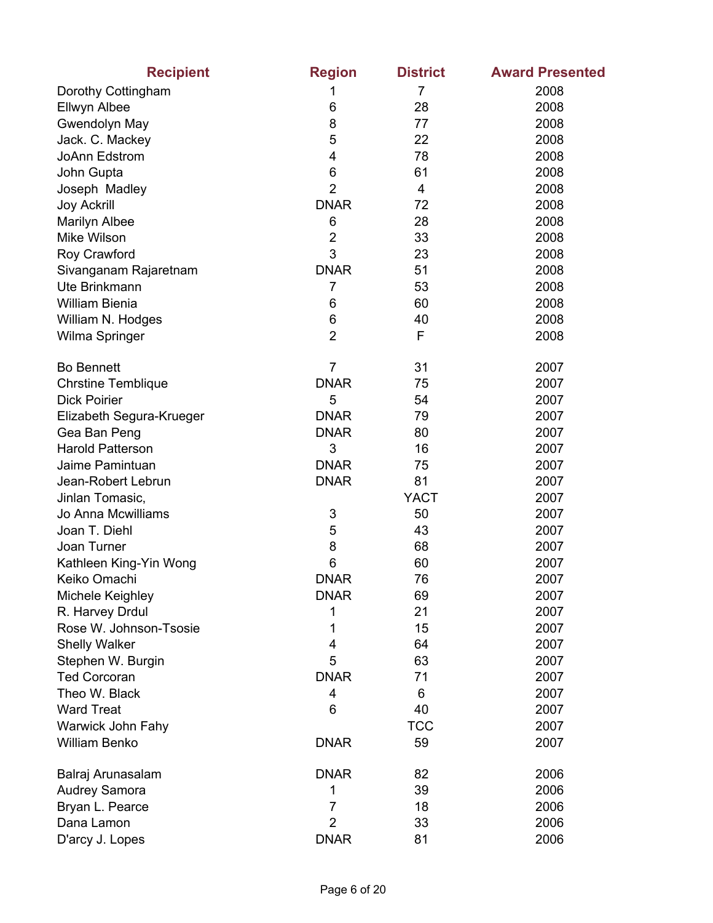| <b>Recipient</b>          | <b>Region</b>  | <b>District</b> | <b>Award Presented</b> |
|---------------------------|----------------|-----------------|------------------------|
| Dorothy Cottingham        | 1              | $\overline{7}$  | 2008                   |
| Ellwyn Albee              | 6              | 28              | 2008                   |
| Gwendolyn May             | 8              | 77              | 2008                   |
| Jack. C. Mackey           | 5              | 22              | 2008                   |
| JoAnn Edstrom             | $\overline{4}$ | 78              | 2008                   |
| John Gupta                | 6              | 61              | 2008                   |
| Joseph Madley             | $\overline{2}$ | 4               | 2008                   |
| <b>Joy Ackrill</b>        | <b>DNAR</b>    | 72              | 2008                   |
| Marilyn Albee             | 6              | 28              | 2008                   |
| <b>Mike Wilson</b>        | $\overline{2}$ | 33              | 2008                   |
| Roy Crawford              | 3              | 23              | 2008                   |
| Sivanganam Rajaretnam     | <b>DNAR</b>    | 51              | 2008                   |
| Ute Brinkmann             | 7              | 53              | 2008                   |
| William Bienia            | 6              | 60              | 2008                   |
| William N. Hodges         | 6              | 40              | 2008                   |
| Wilma Springer            | $\overline{2}$ | F               | 2008                   |
| <b>Bo Bennett</b>         | $\overline{7}$ | 31              | 2007                   |
| <b>Chrstine Temblique</b> | <b>DNAR</b>    | 75              | 2007                   |
| <b>Dick Poirier</b>       | 5              | 54              | 2007                   |
| Elizabeth Segura-Krueger  | <b>DNAR</b>    | 79              | 2007                   |
| Gea Ban Peng              | <b>DNAR</b>    | 80              | 2007                   |
| <b>Harold Patterson</b>   | 3              | 16              | 2007                   |
| Jaime Pamintuan           | <b>DNAR</b>    | 75              | 2007                   |
| Jean-Robert Lebrun        | <b>DNAR</b>    | 81              | 2007                   |
| Jinlan Tomasic,           |                | <b>YACT</b>     | 2007                   |
| Jo Anna Mcwilliams        | 3              | 50              | 2007                   |
| Joan T. Diehl             | 5              | 43              | 2007                   |
| Joan Turner               | 8              | 68              | 2007                   |
| Kathleen King-Yin Wong    | 6              | 60              | 2007                   |
| Keiko Omachi              | <b>DNAR</b>    | 76              | 2007                   |
| Michele Keighley          | <b>DNAR</b>    | 69              | 2007                   |
| R. Harvey Drdul           | 1              | 21              | 2007                   |
| Rose W. Johnson-Tsosie    | 1              | 15              | 2007                   |
| <b>Shelly Walker</b>      | $\overline{4}$ | 64              | 2007                   |
| Stephen W. Burgin         | 5              | 63              | 2007                   |
| <b>Ted Corcoran</b>       | <b>DNAR</b>    | 71              | 2007                   |
| Theo W. Black             | 4              | 6               | 2007                   |
| <b>Ward Treat</b>         | 6              | 40              | 2007                   |
| Warwick John Fahy         |                | <b>TCC</b>      | 2007                   |
| <b>William Benko</b>      | <b>DNAR</b>    | 59              | 2007                   |
| Balraj Arunasalam         | <b>DNAR</b>    | 82              | 2006                   |
| <b>Audrey Samora</b>      | 1              | 39              | 2006                   |
| Bryan L. Pearce           | $\overline{7}$ | 18              | 2006                   |
| Dana Lamon                | $\overline{2}$ | 33              | 2006                   |
| D'arcy J. Lopes           | <b>DNAR</b>    | 81              | 2006                   |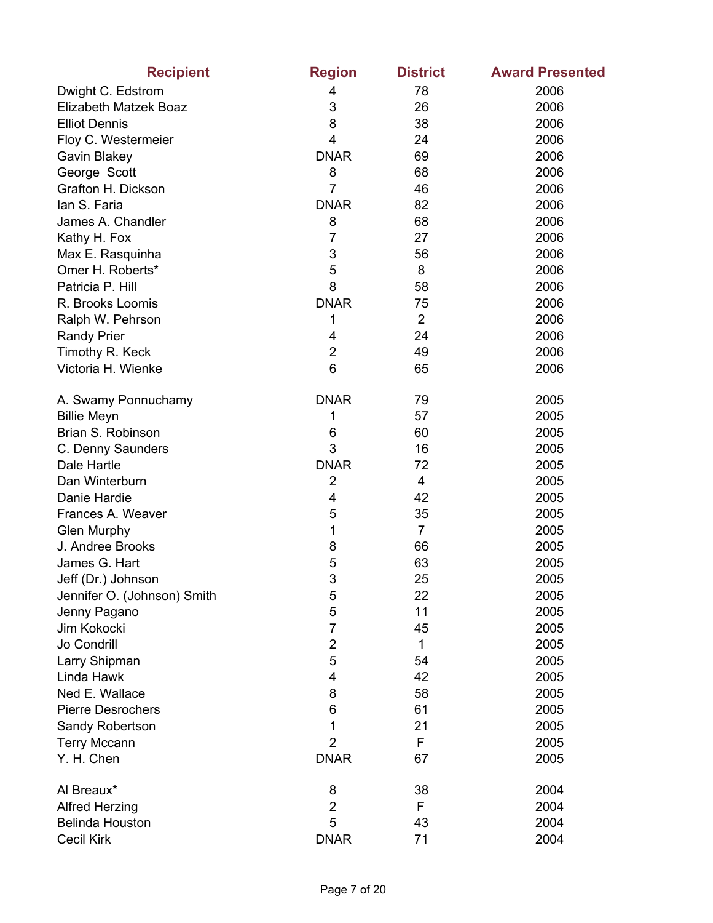| <b>Recipient</b>            | <b>Region</b>  | <b>District</b> | <b>Award Presented</b> |
|-----------------------------|----------------|-----------------|------------------------|
| Dwight C. Edstrom           | 4              | 78              | 2006                   |
| Elizabeth Matzek Boaz       | 3              | 26              | 2006                   |
| <b>Elliot Dennis</b>        | 8              | 38              | 2006                   |
| Floy C. Westermeier         | 4              | 24              | 2006                   |
| Gavin Blakey                | <b>DNAR</b>    | 69              | 2006                   |
| George Scott                | 8              | 68              | 2006                   |
| Grafton H. Dickson          | $\overline{7}$ | 46              | 2006                   |
| lan S. Faria                | <b>DNAR</b>    | 82              | 2006                   |
| James A. Chandler           | 8              | 68              | 2006                   |
| Kathy H. Fox                | 7              | 27              | 2006                   |
| Max E. Rasquinha            | 3              | 56              | 2006                   |
| Omer H. Roberts*            | 5              | 8               | 2006                   |
| Patricia P. Hill            | 8              | 58              | 2006                   |
| R. Brooks Loomis            | <b>DNAR</b>    | 75              | 2006                   |
| Ralph W. Pehrson            | 1              | $\overline{2}$  | 2006                   |
| <b>Randy Prier</b>          | 4              | 24              | 2006                   |
| Timothy R. Keck             | $\overline{2}$ | 49              | 2006                   |
| Victoria H. Wienke          | 6              | 65              | 2006                   |
| A. Swamy Ponnuchamy         | <b>DNAR</b>    | 79              | 2005                   |
| <b>Billie Meyn</b>          | 1              | 57              | 2005                   |
| Brian S. Robinson           | 6              | 60              | 2005                   |
| C. Denny Saunders           | 3              | 16              | 2005                   |
| Dale Hartle                 | <b>DNAR</b>    | 72              | 2005                   |
| Dan Winterburn              | $\overline{2}$ | 4               | 2005                   |
| Danie Hardie                | 4              | 42              | 2005                   |
| Frances A. Weaver           | 5              | 35              | 2005                   |
| <b>Glen Murphy</b>          | 1              | $\overline{7}$  | 2005                   |
| J. Andree Brooks            | 8              | 66              | 2005                   |
| James G. Hart               | 5              | 63              | 2005                   |
| Jeff (Dr.) Johnson          | 3              | 25              | 2005                   |
| Jennifer O. (Johnson) Smith | 5              | 22              | 2005                   |
| Jenny Pagano                | 5              | 11              | 2005                   |
| Jim Kokocki                 | 7              | 45              | 2005                   |
| Jo Condrill                 | $\overline{2}$ | 1               | 2005                   |
| Larry Shipman               | 5              | 54              | 2005                   |
| Linda Hawk                  | 4              | 42              | 2005                   |
| Ned E. Wallace              | 8              | 58              | 2005                   |
| <b>Pierre Desrochers</b>    | 6              | 61              | 2005                   |
| Sandy Robertson             | 1              | 21              | 2005                   |
| <b>Terry Mccann</b>         | $\overline{2}$ | F               | 2005                   |
| Y. H. Chen                  | <b>DNAR</b>    | 67              | 2005                   |
| Al Breaux*                  | 8              | 38              | 2004                   |
| <b>Alfred Herzing</b>       | $\overline{2}$ | F               | 2004                   |
| <b>Belinda Houston</b>      | 5              | 43              | 2004                   |
| <b>Cecil Kirk</b>           | <b>DNAR</b>    | 71              | 2004                   |
|                             |                |                 |                        |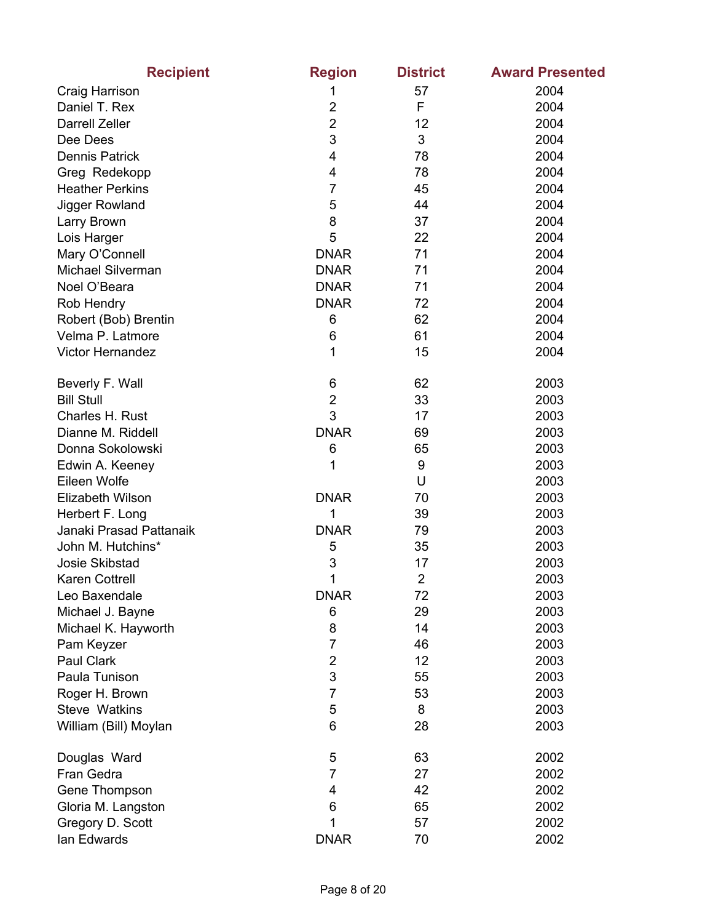| <b>Recipient</b>        | <b>Region</b>  | <b>District</b> | <b>Award Presented</b> |
|-------------------------|----------------|-----------------|------------------------|
| Craig Harrison          | 1              | 57              | 2004                   |
| Daniel T. Rex           | $\overline{2}$ | F               | 2004                   |
| <b>Darrell Zeller</b>   | $\overline{2}$ | 12              | 2004                   |
| Dee Dees                | 3              | 3               | 2004                   |
| <b>Dennis Patrick</b>   | 4              | 78              | 2004                   |
| Greg Redekopp           | 4              | 78              | 2004                   |
| <b>Heather Perkins</b>  | 7              | 45              | 2004                   |
| Jigger Rowland          | 5              | 44              | 2004                   |
| Larry Brown             | 8              | 37              | 2004                   |
| Lois Harger             | 5              | 22              | 2004                   |
| Mary O'Connell          | <b>DNAR</b>    | 71              | 2004                   |
| Michael Silverman       | <b>DNAR</b>    | 71              | 2004                   |
| Noel O'Beara            | <b>DNAR</b>    | 71              | 2004                   |
| Rob Hendry              | <b>DNAR</b>    | 72              | 2004                   |
| Robert (Bob) Brentin    | 6              | 62              | 2004                   |
| Velma P. Latmore        | 6              | 61              | 2004                   |
| <b>Victor Hernandez</b> | 1              | 15              | 2004                   |
| Beverly F. Wall         | 6              | 62              | 2003                   |
| <b>Bill Stull</b>       | $\overline{2}$ | 33              | 2003                   |
| Charles H. Rust         | 3              | 17              | 2003                   |
| Dianne M. Riddell       | <b>DNAR</b>    | 69              | 2003                   |
| Donna Sokolowski        | 6              | 65              | 2003                   |
| Edwin A. Keeney         | 1              | 9               | 2003                   |
| Eileen Wolfe            |                | U               | 2003                   |
| Elizabeth Wilson        | <b>DNAR</b>    | 70              | 2003                   |
| Herbert F. Long         | 1              | 39              | 2003                   |
| Janaki Prasad Pattanaik | <b>DNAR</b>    | 79              | 2003                   |
| John M. Hutchins*       | 5              | 35              | 2003                   |
| Josie Skibstad          | 3              | 17              | 2003                   |
| <b>Karen Cottrell</b>   | 1              | $\overline{2}$  | 2003                   |
| Leo Baxendale           | <b>DNAR</b>    | 72              | 2003                   |
| Michael J. Bayne        | 6              | 29              | 2003                   |
| Michael K. Hayworth     | 8              | 14              | 2003                   |
| Pam Keyzer              | 7              | 46              | 2003                   |
| Paul Clark              | $\overline{c}$ | 12              | 2003                   |
| Paula Tunison           | 3              | 55              | 2003                   |
| Roger H. Brown          | $\overline{7}$ | 53              | 2003                   |
| <b>Steve Watkins</b>    | 5              | 8               | 2003                   |
| William (Bill) Moylan   | 6              | 28              | 2003                   |
| Douglas Ward            | 5              | 63              | 2002                   |
| Fran Gedra              | $\overline{7}$ | 27              | 2002                   |
| Gene Thompson           | 4              | 42              | 2002                   |
| Gloria M. Langston      | 6              | 65              | 2002                   |
| Gregory D. Scott        | 1              | 57              | 2002                   |
| lan Edwards             | <b>DNAR</b>    | 70              | 2002                   |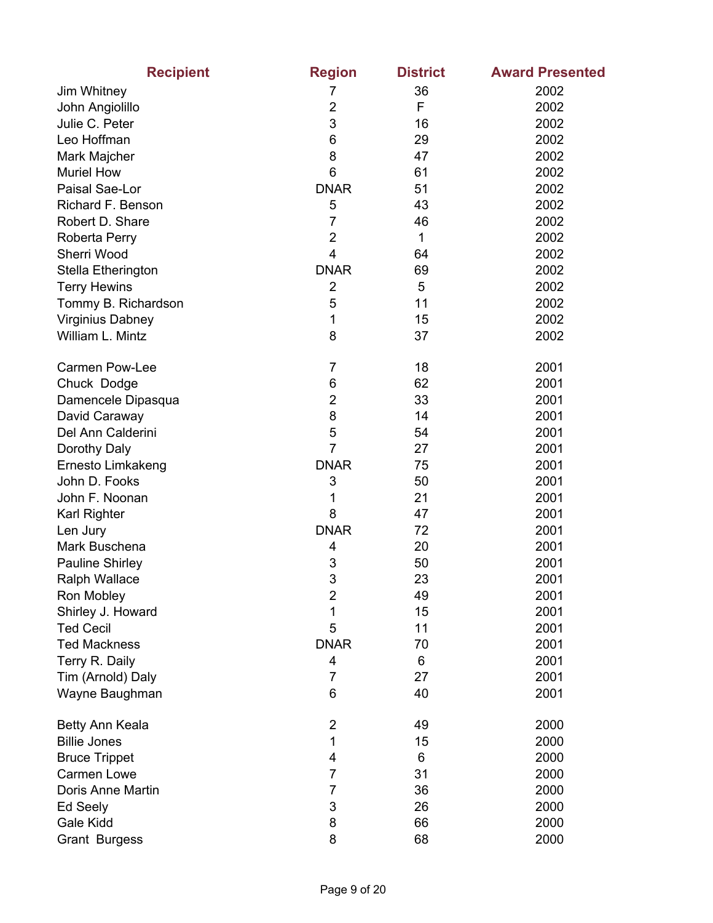| <b>Recipient</b>        | <b>Region</b>  | <b>District</b> | <b>Award Presented</b> |
|-------------------------|----------------|-----------------|------------------------|
| Jim Whitney             | 7              | 36              | 2002                   |
| John Angiolillo         | $\overline{2}$ | F               | 2002                   |
| Julie C. Peter          | 3              | 16              | 2002                   |
| Leo Hoffman             | 6              | 29              | 2002                   |
| Mark Majcher            | 8              | 47              | 2002                   |
| <b>Muriel How</b>       | 6              | 61              | 2002                   |
| Paisal Sae-Lor          | <b>DNAR</b>    | 51              | 2002                   |
| Richard F. Benson       | 5              | 43              | 2002                   |
| Robert D. Share         | 7              | 46              | 2002                   |
| Roberta Perry           | $\overline{2}$ | 1               | 2002                   |
| Sherri Wood             | 4              | 64              | 2002                   |
| Stella Etherington      | <b>DNAR</b>    | 69              | 2002                   |
| <b>Terry Hewins</b>     | $\overline{2}$ | 5               | 2002                   |
| Tommy B. Richardson     | 5              | 11              | 2002                   |
| <b>Virginius Dabney</b> | 1              | 15              | 2002                   |
| William L. Mintz        | 8              | 37              | 2002                   |
|                         |                |                 |                        |
| <b>Carmen Pow-Lee</b>   | 7              | 18              | 2001                   |
| Chuck Dodge             | 6              | 62              | 2001                   |
| Damencele Dipasqua      | $\overline{2}$ | 33              | 2001                   |
| David Caraway           | 8              | 14              | 2001                   |
| Del Ann Calderini       | 5              | 54              | 2001                   |
| Dorothy Daly            | $\overline{7}$ | 27              | 2001                   |
| Ernesto Limkakeng       | <b>DNAR</b>    | 75              | 2001                   |
| John D. Fooks           | 3              | 50              | 2001                   |
| John F. Noonan          | 1              | 21              | 2001                   |
| Karl Righter            | 8              | 47              | 2001                   |
| Len Jury                | <b>DNAR</b>    | 72              | 2001                   |
| Mark Buschena           | 4              | 20              | 2001                   |
| <b>Pauline Shirley</b>  | 3              | 50              | 2001                   |
| Ralph Wallace           | 3              | 23              | 2001                   |
| Ron Mobley              | $\overline{2}$ | 49              | 2001                   |
| Shirley J. Howard       | 1              | 15              | 2001                   |
| <b>Ted Cecil</b>        | 5              | 11              | 2001                   |
| <b>Ted Mackness</b>     | <b>DNAR</b>    | 70              | 2001                   |
| Terry R. Daily          | 4              | 6               | 2001                   |
| Tim (Arnold) Daly       | $\overline{7}$ | 27              | 2001                   |
| Wayne Baughman          | 6              | 40              | 2001                   |
|                         |                |                 |                        |
| Betty Ann Keala         | $\overline{2}$ | 49              | 2000                   |
| <b>Billie Jones</b>     | 1              | 15              | 2000                   |
| <b>Bruce Trippet</b>    | 4              | 6               | 2000                   |
| <b>Carmen Lowe</b>      | 7              | 31              | 2000                   |
| Doris Anne Martin       | 7              | 36              | 2000                   |
| Ed Seely                | 3              | 26              | 2000                   |
| Gale Kidd               | 8              | 66              | 2000                   |
| <b>Grant Burgess</b>    | 8              | 68              | 2000                   |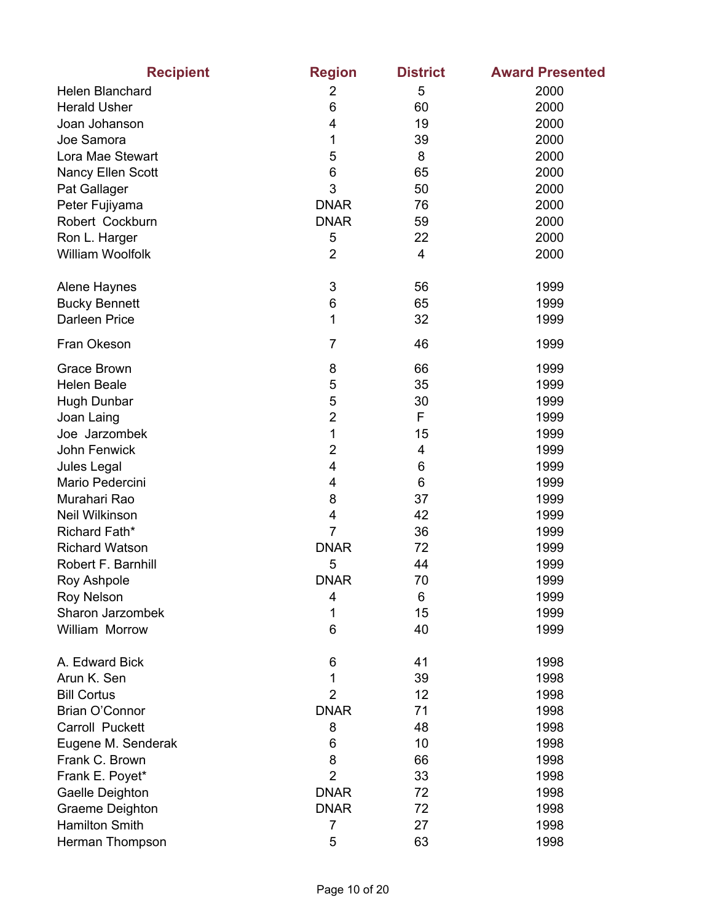| <b>Recipient</b>        | <b>Region</b>  | <b>District</b> | <b>Award Presented</b> |
|-------------------------|----------------|-----------------|------------------------|
| Helen Blanchard         | 2              | 5               | 2000                   |
| <b>Herald Usher</b>     | 6              | 60              | 2000                   |
| Joan Johanson           | 4              | 19              | 2000                   |
| Joe Samora              | 1              | 39              | 2000                   |
| Lora Mae Stewart        | 5              | 8               | 2000                   |
| Nancy Ellen Scott       | 6              | 65              | 2000                   |
| Pat Gallager            | 3              | 50              | 2000                   |
| Peter Fujiyama          | <b>DNAR</b>    | 76              | 2000                   |
| Robert Cockburn         | <b>DNAR</b>    | 59              | 2000                   |
| Ron L. Harger           | 5              | 22              | 2000                   |
| <b>William Woolfolk</b> | $\overline{2}$ | 4               | 2000                   |
| Alene Haynes            | 3              | 56              | 1999                   |
| <b>Bucky Bennett</b>    | 6              | 65              | 1999                   |
| Darleen Price           | 1              | 32              | 1999                   |
| Fran Okeson             | $\overline{7}$ | 46              | 1999                   |
| <b>Grace Brown</b>      | 8              | 66              | 1999                   |
| <b>Helen Beale</b>      | 5              | 35              | 1999                   |
| <b>Hugh Dunbar</b>      | 5              | 30              | 1999                   |
| Joan Laing              | $\overline{2}$ | F               | 1999                   |
| Joe Jarzombek           | 1              | 15              | 1999                   |
| John Fenwick            | $\overline{2}$ | 4               | 1999                   |
| Jules Legal             | 4              | 6               | 1999                   |
| Mario Pedercini         | 4              | 6               | 1999                   |
| Murahari Rao            | 8              | 37              | 1999                   |
| Neil Wilkinson          | 4              | 42              | 1999                   |
| Richard Fath*           | $\overline{7}$ | 36              | 1999                   |
| <b>Richard Watson</b>   | <b>DNAR</b>    | 72              | 1999                   |
| Robert F. Barnhill      | 5              | 44              | 1999                   |
| Roy Ashpole             | <b>DNAR</b>    | 70              | 1999                   |
| <b>Roy Nelson</b>       | 4              | 6               | 1999                   |
| Sharon Jarzombek        | 1              | 15              | 1999                   |
| William Morrow          | 6              | 40              | 1999                   |
| A. Edward Bick          | 6              | 41              | 1998                   |
| Arun K. Sen             | 1              | 39              | 1998                   |
| <b>Bill Cortus</b>      | $\overline{2}$ | 12              | 1998                   |
| Brian O'Connor          | <b>DNAR</b>    | 71              | 1998                   |
| Carroll Puckett         | 8              | 48              | 1998                   |
| Eugene M. Senderak      | 6              | 10              | 1998                   |
| Frank C. Brown          | 8              | 66              | 1998                   |
| Frank E. Poyet*         | $\overline{2}$ | 33              | 1998                   |
| Gaelle Deighton         | <b>DNAR</b>    | 72              | 1998                   |
| Graeme Deighton         | <b>DNAR</b>    | 72              | 1998                   |
| <b>Hamilton Smith</b>   | 7              | 27              | 1998                   |
| Herman Thompson         | 5              | 63              | 1998                   |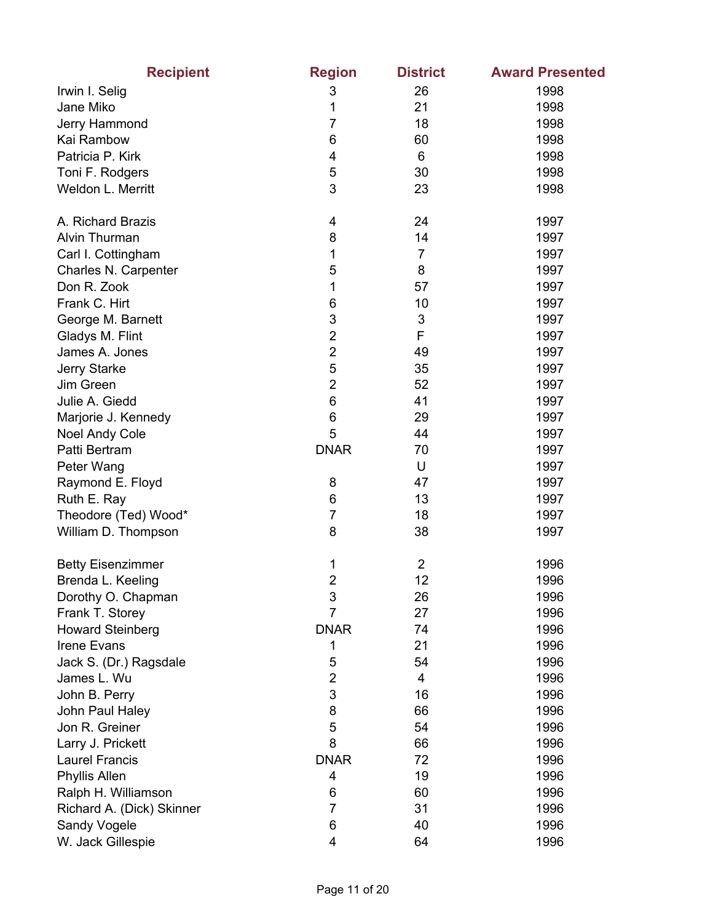| <b>Recipient</b>          | <b>Region</b>           | <b>District</b> | <b>Award Presented</b> |
|---------------------------|-------------------------|-----------------|------------------------|
| Irwin I. Selig            | 3                       | 26              | 1998                   |
| Jane Miko                 | 1                       | 21              | 1998                   |
| Jerry Hammond             | 7                       | 18              | 1998                   |
| Kai Rambow                | 6                       | 60              | 1998                   |
| Patricia P. Kirk          | 4                       | 6               | 1998                   |
| Toni F. Rodgers           | 5                       | 30              | 1998                   |
| Weldon L. Merritt         | 3                       | 23              | 1998                   |
| A. Richard Brazis         | 4                       | 24              | 1997                   |
| Alvin Thurman             | 8                       | 14              | 1997                   |
| Carl I. Cottingham        | 1                       | $\overline{7}$  | 1997                   |
| Charles N. Carpenter      | 5                       | 8               | 1997                   |
| Don R. Zook               | 1                       | 57              | 1997                   |
| Frank C. Hirt             | 6                       | 10              | 1997                   |
| George M. Barnett         | 3                       | 3               | 1997                   |
| Gladys M. Flint           | $\overline{2}$          | F               | 1997                   |
| James A. Jones            | $\overline{2}$          | 49              | 1997                   |
| Jerry Starke              | 5                       | 35              | 1997                   |
| Jim Green                 | $\overline{2}$          | 52              | 1997                   |
| Julie A. Giedd            | 6                       | 41              | 1997                   |
| Marjorie J. Kennedy       | 6                       | 29              | 1997                   |
| Noel Andy Cole            | 5                       | 44              | 1997                   |
| Patti Bertram             | <b>DNAR</b>             | 70              | 1997                   |
| Peter Wang                |                         | U               | 1997                   |
| Raymond E. Floyd          | 8                       | 47              | 1997                   |
| Ruth E. Ray               | 6                       | 13              | 1997                   |
| Theodore (Ted) Wood*      | $\overline{7}$          | 18              | 1997                   |
| William D. Thompson       | 8                       | 38              | 1997                   |
| <b>Betty Eisenzimmer</b>  | 1                       | $\overline{2}$  | 1996                   |
| Brenda L. Keeling         | $\overline{\mathbf{c}}$ | 12              | 1996                   |
| Dorothy O. Chapman        | 3                       | 26              | 1996                   |
| Frank T. Storey           | 7                       | 27              | 1996                   |
| <b>Howard Steinberg</b>   | <b>DNAR</b>             | 74              | 1996                   |
| <b>Irene Evans</b>        | 1                       | 21              | 1996                   |
| Jack S. (Dr.) Ragsdale    | 5                       | 54              | 1996                   |
| James L. Wu               | $\overline{2}$          | 4               | 1996                   |
| John B. Perry             | 3                       | 16              | 1996                   |
| John Paul Haley           | 8                       | 66              | 1996                   |
| Jon R. Greiner            | 5                       | 54              | 1996                   |
| Larry J. Prickett         | 8                       | 66              | 1996                   |
| <b>Laurel Francis</b>     | <b>DNAR</b>             | 72              | 1996                   |
| <b>Phyllis Allen</b>      | 4                       | 19              | 1996                   |
| Ralph H. Williamson       | 6                       | 60              | 1996                   |
| Richard A. (Dick) Skinner | 7                       | 31              | 1996                   |
| Sandy Vogele              | 6                       | 40              | 1996                   |
| W. Jack Gillespie         | 4                       | 64              | 1996                   |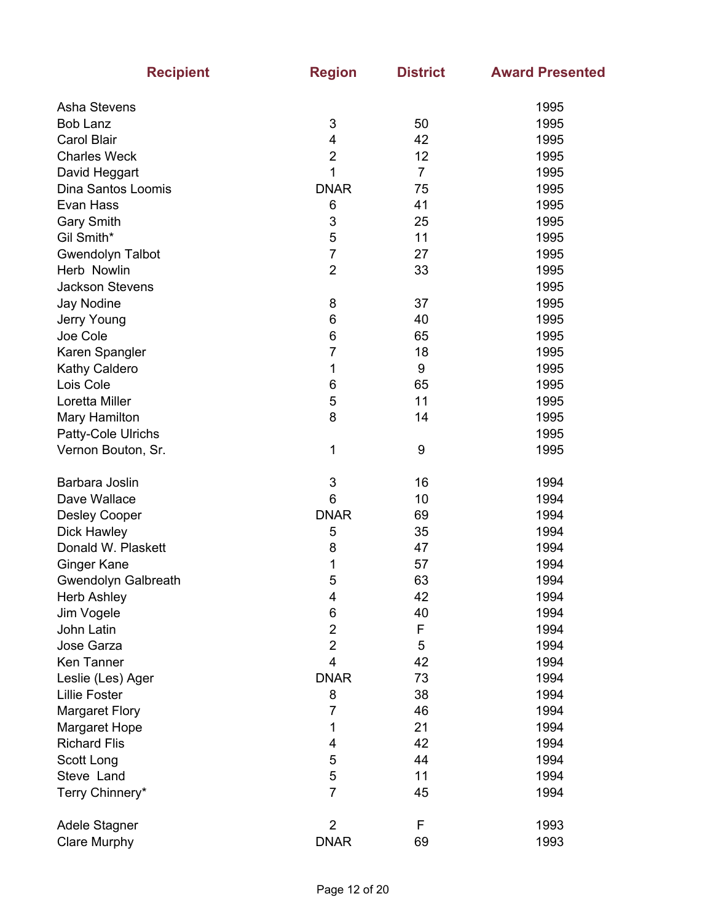| <b>Recipient</b>        | <b>Region</b>           | <b>District</b> | <b>Award Presented</b> |
|-------------------------|-------------------------|-----------------|------------------------|
| Asha Stevens            |                         |                 | 1995                   |
| <b>Bob Lanz</b>         | 3                       | 50              | 1995                   |
| <b>Carol Blair</b>      | 4                       | 42              | 1995                   |
| <b>Charles Weck</b>     | $\overline{c}$          | 12              | 1995                   |
| David Heggart           | 1                       | $\overline{7}$  | 1995                   |
| Dina Santos Loomis      | <b>DNAR</b>             | 75              | 1995                   |
| Evan Hass               | 6                       | 41              | 1995                   |
| <b>Gary Smith</b>       | 3                       | 25              | 1995                   |
| Gil Smith*              | 5                       | 11              | 1995                   |
| <b>Gwendolyn Talbot</b> | $\overline{7}$          | 27              | 1995                   |
| Herb Nowlin             | $\overline{2}$          | 33              | 1995                   |
| <b>Jackson Stevens</b>  |                         |                 | 1995                   |
| Jay Nodine              | 8                       | 37              | 1995                   |
| Jerry Young             | 6                       | 40              | 1995                   |
| Joe Cole                | 6                       | 65              | 1995                   |
| Karen Spangler          | 7                       | 18              | 1995                   |
| Kathy Caldero           | 1                       | 9               | 1995                   |
| Lois Cole               | $\,6$                   | 65              | 1995                   |
| Loretta Miller          | $\sqrt{5}$              | 11              | 1995                   |
| Mary Hamilton           | 8                       | 14              | 1995                   |
| Patty-Cole Ulrichs      |                         |                 | 1995                   |
| Vernon Bouton, Sr.      | 1                       | 9               | 1995                   |
|                         |                         |                 |                        |
| Barbara Joslin          | 3                       | 16              | 1994                   |
| Dave Wallace            | 6                       | 10              | 1994                   |
| <b>Desley Cooper</b>    | <b>DNAR</b>             | 69              | 1994                   |
| Dick Hawley             | 5                       | 35              | 1994                   |
| Donald W. Plaskett      | 8                       | 47              | 1994                   |
| Ginger Kane             | 1                       | 57              | 1994                   |
| Gwendolyn Galbreath     | 5                       | 63              | 1994                   |
| <b>Herb Ashley</b>      | 4                       | 42              | 1994                   |
| Jim Vogele              | $\,6$                   | 40              | 1994                   |
| John Latin              | $\overline{2}$          | F               | 1994                   |
| Jose Garza              | $\mathbf 2$             | 5               | 1994                   |
| Ken Tanner              | $\overline{\mathbf{4}}$ | 42              | 1994                   |
| Leslie (Les) Ager       | <b>DNAR</b>             | 73              | 1994                   |
| <b>Lillie Foster</b>    | 8                       | 38              | 1994                   |
| <b>Margaret Flory</b>   | 7                       | 46              | 1994                   |
| Margaret Hope           | 1                       | 21              | 1994                   |
| <b>Richard Flis</b>     | 4                       | 42              | 1994                   |
| Scott Long              | $\sqrt{5}$              | 44              | 1994                   |
| Steve Land              | 5                       | 11              | 1994                   |
| Terry Chinnery*         | $\overline{7}$          | 45              | 1994                   |
|                         |                         |                 |                        |
| Adele Stagner           | $\overline{2}$          | F               | 1993                   |
| <b>Clare Murphy</b>     | <b>DNAR</b>             | 69              | 1993                   |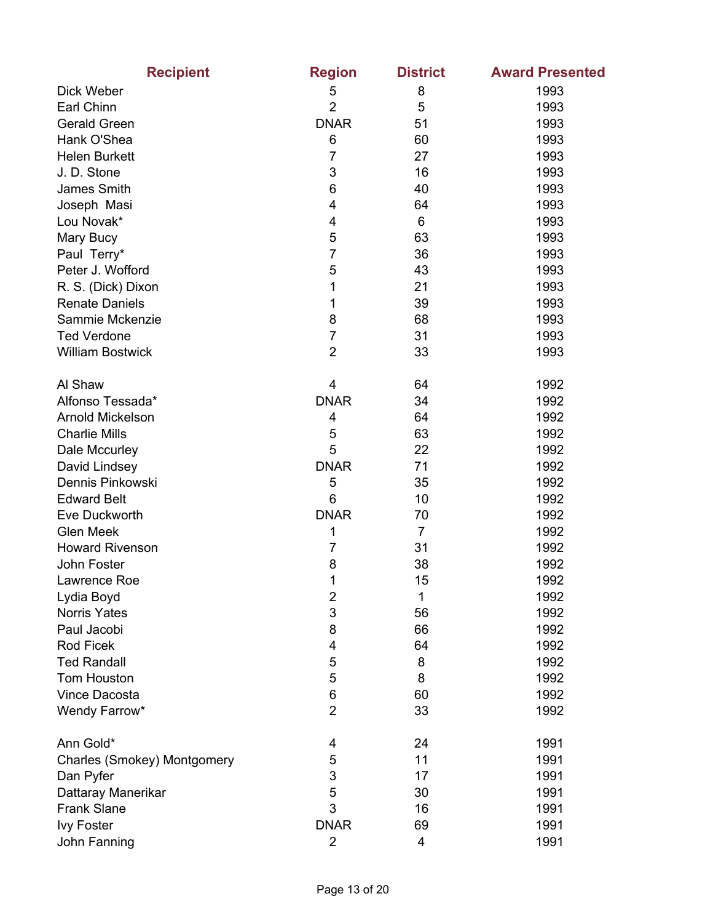| <b>Recipient</b>            | <b>Region</b>           | <b>District</b> | <b>Award Presented</b> |
|-----------------------------|-------------------------|-----------------|------------------------|
| Dick Weber                  | 5                       | 8               | 1993                   |
| Earl Chinn                  | $\overline{2}$          | 5               | 1993                   |
| <b>Gerald Green</b>         | <b>DNAR</b>             | 51              | 1993                   |
| Hank O'Shea                 | 6                       | 60              | 1993                   |
| <b>Helen Burkett</b>        | $\overline{7}$          | 27              | 1993                   |
| J.D. Stone                  | $\mathsf 3$             | 16              | 1993                   |
| James Smith                 | 6                       | 40              | 1993                   |
| Joseph Masi                 | $\overline{\mathbf{4}}$ | 64              | 1993                   |
| Lou Novak*                  | 4                       | 6               | 1993                   |
| Mary Bucy                   | 5                       | 63              | 1993                   |
| Paul Terry*                 | $\overline{7}$          | 36              | 1993                   |
| Peter J. Wofford            | 5                       | 43              | 1993                   |
| R. S. (Dick) Dixon          | 1                       | 21              | 1993                   |
| <b>Renate Daniels</b>       | 1                       | 39              | 1993                   |
| Sammie Mckenzie             | 8                       | 68              | 1993                   |
| <b>Ted Verdone</b>          | $\overline{7}$          | 31              | 1993                   |
| <b>William Bostwick</b>     | $\overline{2}$          | 33              | 1993                   |
| Al Shaw                     | 4                       | 64              | 1992                   |
| Alfonso Tessada*            | <b>DNAR</b>             | 34              | 1992                   |
| Arnold Mickelson            | 4                       | 64              | 1992                   |
| <b>Charlie Mills</b>        | 5                       | 63              | 1992                   |
| Dale Mccurley               | 5                       | 22              | 1992                   |
| David Lindsey               | <b>DNAR</b>             | 71              | 1992                   |
| Dennis Pinkowski            | 5                       | 35              | 1992                   |
| <b>Edward Belt</b>          | 6                       | 10              | 1992                   |
| Eve Duckworth               | <b>DNAR</b>             | 70              | 1992                   |
| <b>Glen Meek</b>            | 1                       | $\overline{7}$  | 1992                   |
| <b>Howard Rivenson</b>      | $\overline{7}$          | 31              | 1992                   |
| John Foster                 | 8                       | 38              | 1992                   |
| Lawrence Roe                | 1                       | 15              | 1992                   |
| Lydia Boyd                  | $\overline{2}$          | 1               | 1992                   |
| <b>Norris Yates</b>         | $\mathsf 3$             | 56              | 1992                   |
| Paul Jacobi                 | 8                       | 66              | 1992                   |
| <b>Rod Ficek</b>            | $\overline{\mathbf{4}}$ | 64              | 1992                   |
| <b>Ted Randall</b>          | 5                       | 8               | 1992                   |
| <b>Tom Houston</b>          | 5                       | 8               | 1992                   |
| <b>Vince Dacosta</b>        | 6                       | 60              | 1992                   |
| Wendy Farrow*               | $\overline{2}$          | 33              | 1992                   |
| Ann Gold*                   | 4                       | 24              | 1991                   |
| Charles (Smokey) Montgomery | 5                       | 11              | 1991                   |
| Dan Pyfer                   | 3                       | 17              | 1991                   |
| Dattaray Manerikar          | 5                       | 30              | 1991                   |
| <b>Frank Slane</b>          | 3                       | 16              | 1991                   |
| <b>Ivy Foster</b>           | <b>DNAR</b>             | 69              | 1991                   |
| John Fanning                | 2                       | 4               | 1991                   |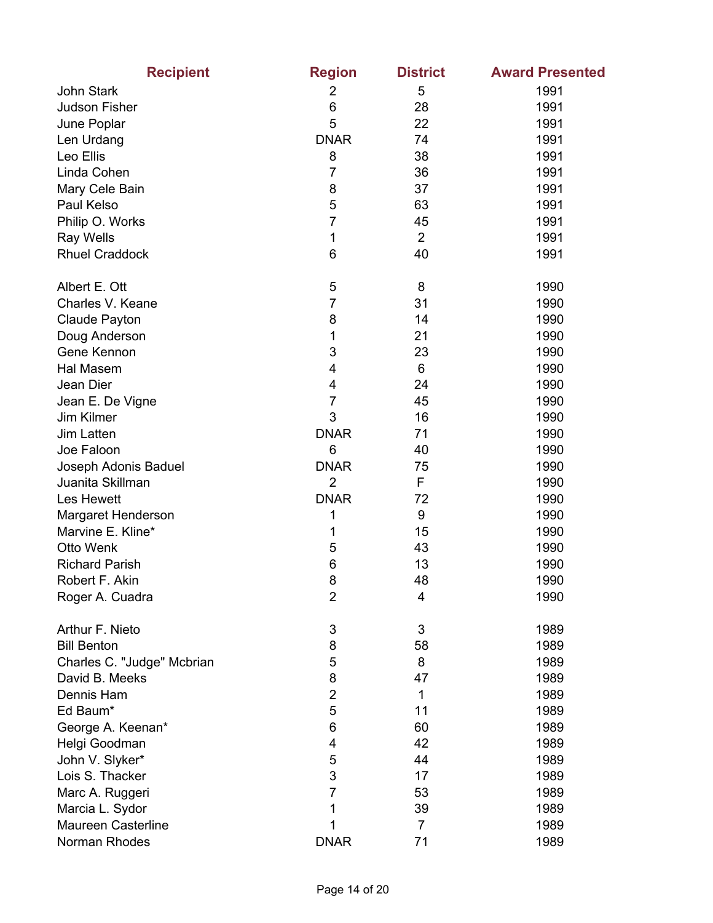| <b>Recipient</b>           | <b>Region</b>  | <b>District</b> | <b>Award Presented</b> |
|----------------------------|----------------|-----------------|------------------------|
| <b>John Stark</b>          | 2              | 5               | 1991                   |
| <b>Judson Fisher</b>       | 6              | 28              | 1991                   |
| June Poplar                | 5              | 22              | 1991                   |
| Len Urdang                 | <b>DNAR</b>    | 74              | 1991                   |
| Leo Ellis                  | 8              | 38              | 1991                   |
| Linda Cohen                | $\overline{7}$ | 36              | 1991                   |
| Mary Cele Bain             | 8              | 37              | 1991                   |
| Paul Kelso                 | 5              | 63              | 1991                   |
| Philip O. Works            | 7              | 45              | 1991                   |
| <b>Ray Wells</b>           | 1              | $\overline{2}$  | 1991                   |
| <b>Rhuel Craddock</b>      | 6              | 40              | 1991                   |
| Albert E. Ott              | 5              | 8               | 1990                   |
| Charles V. Keane           | 7              | 31              | 1990                   |
| Claude Payton              | 8              | 14              | 1990                   |
| Doug Anderson              | 1              | 21              | 1990                   |
| Gene Kennon                | 3              | 23              | 1990                   |
| Hal Masem                  | 4              | 6               | 1990                   |
| Jean Dier                  | 4              | 24              | 1990                   |
| Jean E. De Vigne           | $\overline{7}$ | 45              | 1990                   |
| Jim Kilmer                 | 3              | 16              | 1990                   |
| Jim Latten                 | <b>DNAR</b>    | 71              | 1990                   |
| Joe Faloon                 | 6              | 40              | 1990                   |
| Joseph Adonis Baduel       | <b>DNAR</b>    | 75              | 1990                   |
| Juanita Skillman           | $\overline{2}$ | F               | 1990                   |
| Les Hewett                 | <b>DNAR</b>    | 72              | 1990                   |
| Margaret Henderson         | 1              | 9               | 1990                   |
| Marvine E. Kline*          | 1              | 15              | 1990                   |
| Otto Wenk                  | 5              | 43              | 1990                   |
| <b>Richard Parish</b>      | 6              | 13              | 1990                   |
| Robert F. Akin             | 8              | 48              | 1990                   |
| Roger A. Cuadra            | $\overline{2}$ | 4               | 1990                   |
| Arthur F. Nieto            | 3              | 3               | 1989                   |
| <b>Bill Benton</b>         | 8              | 58              | 1989                   |
| Charles C. "Judge" Mcbrian | 5              | 8               | 1989                   |
| David B. Meeks             | 8              | 47              | 1989                   |
| Dennis Ham                 | $\overline{2}$ | 1               | 1989                   |
| Ed Baum*                   | 5              | 11              | 1989                   |
| George A. Keenan*          | 6              | 60              | 1989                   |
| Helgi Goodman              | 4              | 42              | 1989                   |
| John V. Slyker*            | 5              | 44              | 1989                   |
| Lois S. Thacker            | 3              | 17              | 1989                   |
| Marc A. Ruggeri            | $\overline{7}$ | 53              | 1989                   |
| Marcia L. Sydor            | 1              | 39              | 1989                   |
| <b>Maureen Casterline</b>  | 1              | $\overline{7}$  | 1989                   |
| Norman Rhodes              | <b>DNAR</b>    | 71              | 1989                   |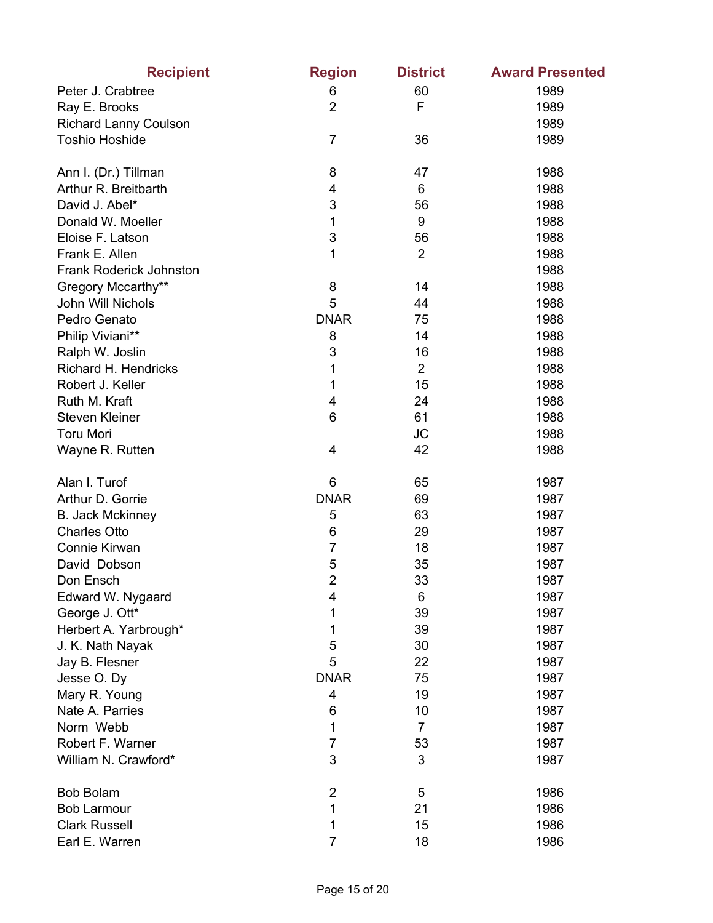| <b>Recipient</b>             | <b>Region</b>  | <b>District</b> | <b>Award Presented</b> |
|------------------------------|----------------|-----------------|------------------------|
| Peter J. Crabtree            | 6              | 60              | 1989                   |
| Ray E. Brooks                | $\overline{2}$ | F               | 1989                   |
| <b>Richard Lanny Coulson</b> |                |                 | 1989                   |
| <b>Toshio Hoshide</b>        | $\overline{7}$ | 36              | 1989                   |
| Ann I. (Dr.) Tillman         | 8              | 47              | 1988                   |
| Arthur R. Breitbarth         | 4              | 6               | 1988                   |
| David J. Abel*               | 3              | 56              | 1988                   |
| Donald W. Moeller            | 1              | 9               | 1988                   |
| Eloise F. Latson             | 3              | 56              | 1988                   |
| Frank E. Allen               | 1              | $\overline{2}$  | 1988                   |
| Frank Roderick Johnston      |                |                 | 1988                   |
| Gregory Mccarthy**           | 8              | 14              | 1988                   |
| John Will Nichols            | 5              | 44              | 1988                   |
| Pedro Genato                 | <b>DNAR</b>    | 75              | 1988                   |
| Philip Viviani**             | 8              | 14              | 1988                   |
| Ralph W. Joslin              | 3              | 16              | 1988                   |
| Richard H. Hendricks         | 1              | $\overline{2}$  | 1988                   |
| Robert J. Keller             | 1              | 15              | 1988                   |
| Ruth M. Kraft                | 4              | 24              | 1988                   |
| <b>Steven Kleiner</b>        | 6              | 61              | 1988                   |
| <b>Toru Mori</b>             |                | <b>JC</b>       | 1988                   |
| Wayne R. Rutten              | 4              | 42              | 1988                   |
| Alan I. Turof                | 6              | 65              | 1987                   |
| Arthur D. Gorrie             | <b>DNAR</b>    | 69              | 1987                   |
| <b>B. Jack Mckinney</b>      | 5              | 63              | 1987                   |
| <b>Charles Otto</b>          | 6              | 29              | 1987                   |
| Connie Kirwan                | $\overline{7}$ | 18              | 1987                   |
| David Dobson                 | 5              | 35              | 1987                   |
| Don Ensch                    | $\overline{2}$ | 33              | 1987                   |
| Edward W. Nygaard            | 4              | 6               | 1987                   |
| George J. Ott*               | 1              | 39              | 1987                   |
| Herbert A. Yarbrough*        | 1              | 39              | 1987                   |
| J. K. Nath Nayak             | 5              | 30              | 1987                   |
| Jay B. Flesner               | 5              | 22              | 1987                   |
| Jesse O. Dy                  | <b>DNAR</b>    | 75              | 1987                   |
| Mary R. Young                | 4              | 19              | 1987                   |
| Nate A. Parries              | 6              | 10              | 1987                   |
| Norm Webb                    | 1              | $\overline{7}$  | 1987                   |
| Robert F. Warner             | 7              | 53              | 1987                   |
| William N. Crawford*         | 3              | 3               | 1987                   |
| <b>Bob Bolam</b>             | $\overline{2}$ | 5               | 1986                   |
| <b>Bob Larmour</b>           | 1              | 21              | 1986                   |
| <b>Clark Russell</b>         | 1              | 15              | 1986                   |
| Earl E. Warren               | $\overline{7}$ | 18              | 1986                   |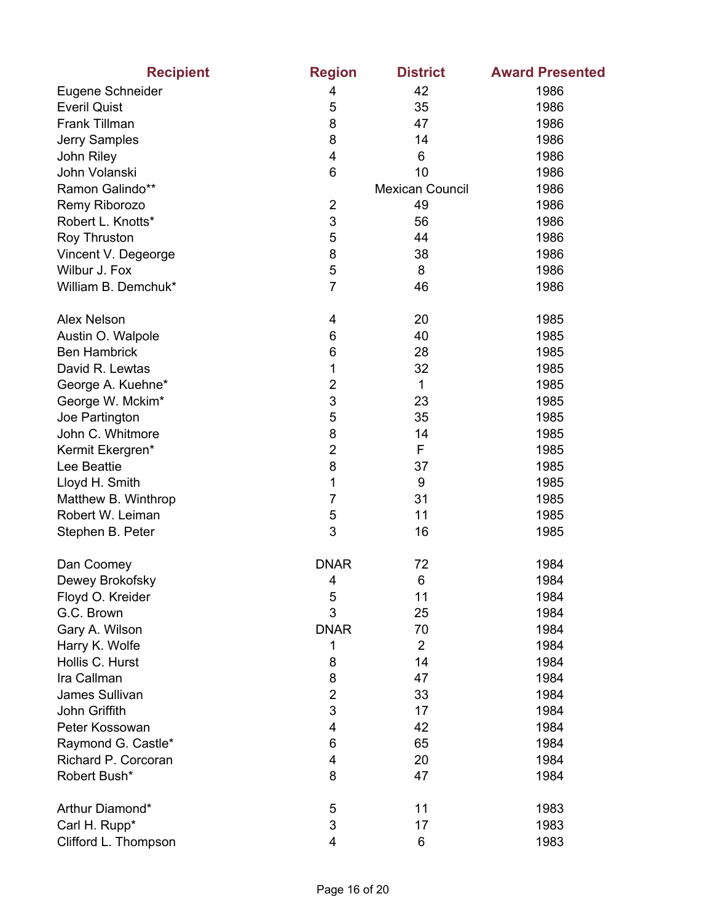| <b>Recipient</b>     | <b>Region</b>  | <b>District</b>        | <b>Award Presented</b> |
|----------------------|----------------|------------------------|------------------------|
| Eugene Schneider     | 4              | 42                     | 1986                   |
| <b>Everil Quist</b>  | 5              | 35                     | 1986                   |
| Frank Tillman        | 8              | 47                     | 1986                   |
| Jerry Samples        | 8              | 14                     | 1986                   |
| John Riley           | 4              | 6                      | 1986                   |
| John Volanski        | 6              | 10                     | 1986                   |
| Ramon Galindo**      |                | <b>Mexican Council</b> | 1986                   |
| Remy Riborozo        | $\overline{2}$ | 49                     | 1986                   |
| Robert L. Knotts*    | 3              | 56                     | 1986                   |
| Roy Thruston         | 5              | 44                     | 1986                   |
| Vincent V. Degeorge  | 8              | 38                     | 1986                   |
| Wilbur J. Fox        | 5              | 8                      | 1986                   |
| William B. Demchuk*  | $\overline{7}$ | 46                     | 1986                   |
| <b>Alex Nelson</b>   | 4              | 20                     | 1985                   |
| Austin O. Walpole    | 6              | 40                     | 1985                   |
| <b>Ben Hambrick</b>  | 6              | 28                     | 1985                   |
| David R. Lewtas      | 1              | 32                     | 1985                   |
| George A. Kuehne*    | $\overline{c}$ | 1                      | 1985                   |
| George W. Mckim*     | 3              | 23                     | 1985                   |
| Joe Partington       | 5              | 35                     | 1985                   |
| John C. Whitmore     | 8              | 14                     | 1985                   |
| Kermit Ekergren*     | $\overline{2}$ | F                      | 1985                   |
| Lee Beattie          | 8              | 37                     | 1985                   |
| Lloyd H. Smith       | 1              | 9                      | 1985                   |
| Matthew B. Winthrop  | 7              | 31                     | 1985                   |
| Robert W. Leiman     | 5              | 11                     | 1985                   |
| Stephen B. Peter     | 3              | 16                     | 1985                   |
| Dan Coomey           | <b>DNAR</b>    | 72                     | 1984                   |
| Dewey Brokofsky      | 4              | 6                      | 1984                   |
| Floyd O. Kreider     | 5              | 11                     | 1984                   |
| G.C. Brown           | 3              | 25                     | 1984                   |
| Gary A. Wilson       | <b>DNAR</b>    | 70                     | 1984                   |
| Harry K. Wolfe       | 1              | $\overline{2}$         | 1984                   |
| Hollis C. Hurst      | 8              | 14                     | 1984                   |
| Ira Callman          | 8              | 47                     | 1984                   |
| James Sullivan       | $\overline{c}$ | 33                     | 1984                   |
| John Griffith        | 3              | 17                     | 1984                   |
| Peter Kossowan       | $\overline{4}$ | 42                     | 1984                   |
| Raymond G. Castle*   | 6              | 65                     | 1984                   |
| Richard P. Corcoran  | 4              | 20                     | 1984                   |
| Robert Bush*         | 8              | 47                     | 1984                   |
| Arthur Diamond*      | 5              | 11                     | 1983                   |
| Carl H. Rupp*        | 3              | 17                     | 1983                   |
| Clifford L. Thompson | 4              | 6                      | 1983                   |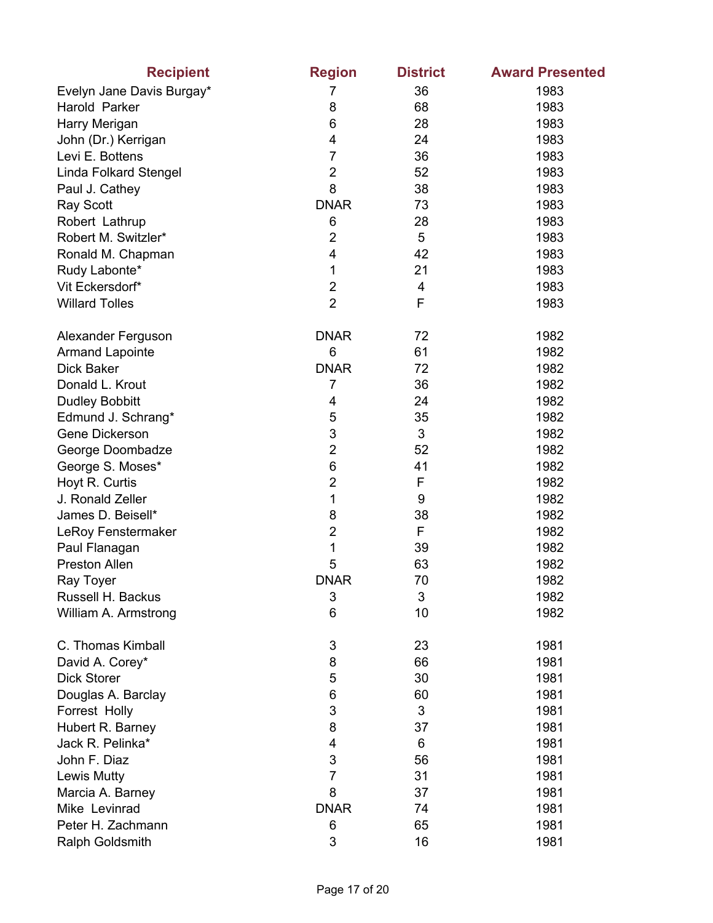| <b>Recipient</b>             | <b>Region</b>  | <b>District</b> | <b>Award Presented</b> |
|------------------------------|----------------|-----------------|------------------------|
| Evelyn Jane Davis Burgay*    | 7              | 36              | 1983                   |
| Harold Parker                | 8              | 68              | 1983                   |
| Harry Merigan                | 6              | 28              | 1983                   |
| John (Dr.) Kerrigan          | 4              | 24              | 1983                   |
| Levi E. Bottens              | $\overline{7}$ | 36              | 1983                   |
| <b>Linda Folkard Stengel</b> | $\overline{2}$ | 52              | 1983                   |
| Paul J. Cathey               | 8              | 38              | 1983                   |
| <b>Ray Scott</b>             | <b>DNAR</b>    | 73              | 1983                   |
| Robert Lathrup               | 6              | 28              | 1983                   |
| Robert M. Switzler*          | $\overline{2}$ | 5               | 1983                   |
| Ronald M. Chapman            | $\overline{4}$ | 42              | 1983                   |
| Rudy Labonte*                | 1              | 21              | 1983                   |
| Vit Eckersdorf*              | $\overline{2}$ | 4               | 1983                   |
| <b>Willard Tolles</b>        | $\overline{2}$ | F               | 1983                   |
| Alexander Ferguson           | <b>DNAR</b>    | 72              | 1982                   |
| <b>Armand Lapointe</b>       | 6              | 61              | 1982                   |
| <b>Dick Baker</b>            | <b>DNAR</b>    | 72              | 1982                   |
| Donald L. Krout              | 7              | 36              | 1982                   |
| <b>Dudley Bobbitt</b>        | 4              | 24              | 1982                   |
| Edmund J. Schrang*           | 5              | 35              | 1982                   |
| Gene Dickerson               | 3              | 3               | 1982                   |
| George Doombadze             | $\overline{2}$ | 52              | 1982                   |
| George S. Moses*             | 6              | 41              | 1982                   |
| Hoyt R. Curtis               | $\overline{2}$ | F               | 1982                   |
| J. Ronald Zeller             | 1              | 9               | 1982                   |
| James D. Beisell*            | 8              | 38              | 1982                   |
| LeRoy Fenstermaker           | $\overline{2}$ | F               | 1982                   |
| Paul Flanagan                | 1              | 39              | 1982                   |
| <b>Preston Allen</b>         | 5              | 63              | 1982                   |
| Ray Toyer                    | <b>DNAR</b>    | 70              | 1982                   |
| Russell H. Backus            | 3              | 3               | 1982                   |
| William A. Armstrong         | 6              | 10              | 1982                   |
| C. Thomas Kimball            | 3              | 23              | 1981                   |
| David A. Corey*              | 8              | 66              | 1981                   |
| <b>Dick Storer</b>           | 5              | 30              | 1981                   |
| Douglas A. Barclay           | 6              | 60              | 1981                   |
| Forrest Holly                | 3              | 3               | 1981                   |
| Hubert R. Barney             | 8              | 37              | 1981                   |
| Jack R. Pelinka*             | 4              | 6               | 1981                   |
| John F. Diaz                 | 3              | 56              | 1981                   |
| <b>Lewis Mutty</b>           | $\overline{7}$ | 31              | 1981                   |
| Marcia A. Barney             | 8              | 37              | 1981                   |
| Mike Levinrad                | <b>DNAR</b>    | 74              | 1981                   |
| Peter H. Zachmann            | 6              | 65              | 1981                   |
| Ralph Goldsmith              | 3              | 16              | 1981                   |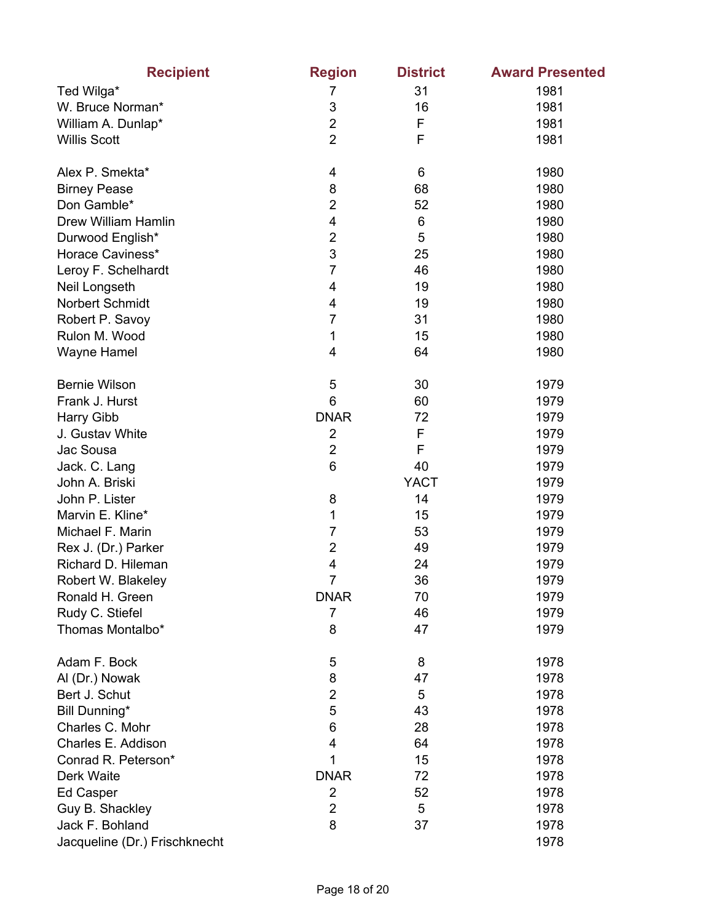| <b>Recipient</b>              | <b>Region</b>  | <b>District</b> | <b>Award Presented</b> |
|-------------------------------|----------------|-----------------|------------------------|
| Ted Wilga*                    | 7              | 31              | 1981                   |
| W. Bruce Norman*              | 3              | 16              | 1981                   |
| William A. Dunlap*            | $\overline{2}$ | F               | 1981                   |
| <b>Willis Scott</b>           | $\overline{2}$ | F               | 1981                   |
| Alex P. Smekta*               | 4              | 6               | 1980                   |
| <b>Birney Pease</b>           | 8              | 68              | 1980                   |
| Don Gamble*                   | $\overline{2}$ | 52              | 1980                   |
| Drew William Hamlin           | 4              | 6               | 1980                   |
| Durwood English*              | $\overline{c}$ | 5               | 1980                   |
| Horace Caviness*              | 3              | 25              | 1980                   |
| Leroy F. Schelhardt           | $\overline{7}$ | 46              | 1980                   |
| Neil Longseth                 | 4              | 19              | 1980                   |
| Norbert Schmidt               | 4              | 19              | 1980                   |
| Robert P. Savoy               | $\overline{7}$ | 31              | 1980                   |
| Rulon M. Wood                 | 1              | 15              | 1980                   |
| <b>Wayne Hamel</b>            | 4              | 64              | 1980                   |
| <b>Bernie Wilson</b>          | 5              | 30              | 1979                   |
| Frank J. Hurst                | 6              | 60              | 1979                   |
| Harry Gibb                    | <b>DNAR</b>    | 72              | 1979                   |
| J. Gustav White               | $\overline{2}$ | F               | 1979                   |
| Jac Sousa                     | $\overline{2}$ | F               | 1979                   |
| Jack. C. Lang                 | 6              | 40              | 1979                   |
| John A. Briski                |                | <b>YACT</b>     | 1979                   |
| John P. Lister                | 8              | 14              | 1979                   |
| Marvin E. Kline*              | 1              | 15              | 1979                   |
| Michael F. Marin              | $\overline{7}$ | 53              | 1979                   |
| Rex J. (Dr.) Parker           | $\overline{2}$ | 49              | 1979                   |
| Richard D. Hileman            | 4              | 24              | 1979                   |
| Robert W. Blakeley            | $\overline{7}$ | 36              | 1979                   |
| Ronald H. Green               | <b>DNAR</b>    | 70              | 1979                   |
| Rudy C. Stiefel               | 7              | 46              | 1979                   |
| Thomas Montalbo*              | 8              | 47              | 1979                   |
| Adam F. Bock                  | 5              | 8               | 1978                   |
| Al (Dr.) Nowak                | 8              | 47              | 1978                   |
| Bert J. Schut                 | $\overline{2}$ | 5               | 1978                   |
| Bill Dunning*                 | 5              | 43              | 1978                   |
| Charles C. Mohr               | 6              | 28              | 1978                   |
| Charles E. Addison            | 4              | 64              | 1978                   |
| Conrad R. Peterson*           | 1              | 15              | 1978                   |
| Derk Waite                    | <b>DNAR</b>    | 72              | 1978                   |
| Ed Casper                     | $\overline{2}$ | 52              | 1978                   |
| Guy B. Shackley               | $\overline{2}$ | 5               | 1978                   |
| Jack F. Bohland               | 8              | 37              | 1978                   |
| Jacqueline (Dr.) Frischknecht |                |                 | 1978                   |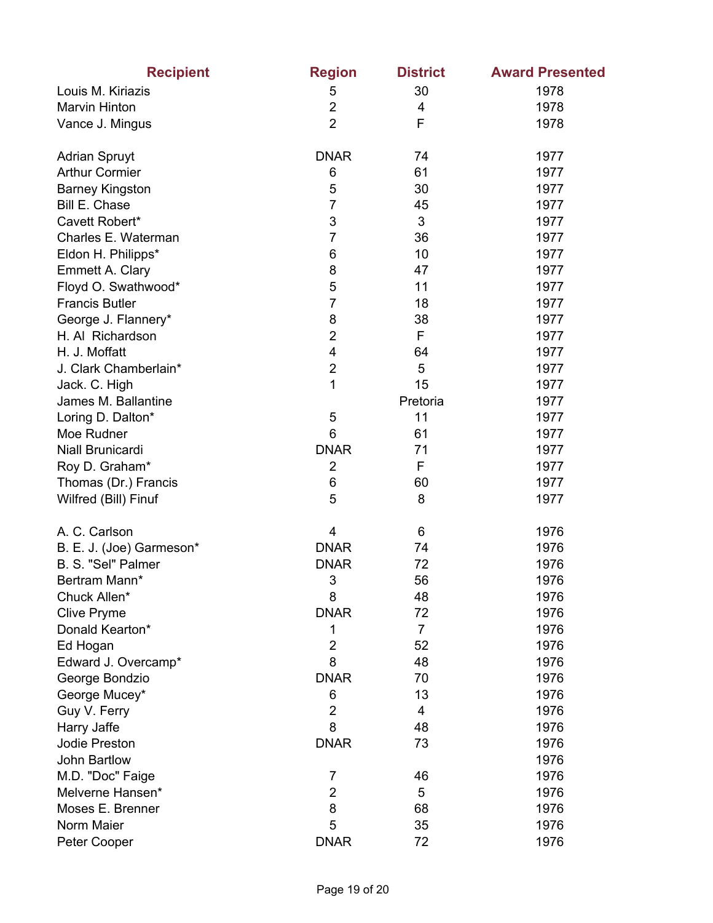| <b>Recipient</b>         | <b>Region</b>  | <b>District</b> | <b>Award Presented</b> |
|--------------------------|----------------|-----------------|------------------------|
| Louis M. Kiriazis        | 5              | 30              | 1978                   |
| Marvin Hinton            | $\overline{2}$ | 4               | 1978                   |
| Vance J. Mingus          | $\overline{2}$ | F               | 1978                   |
| <b>Adrian Spruyt</b>     | <b>DNAR</b>    | 74              | 1977                   |
| <b>Arthur Cormier</b>    | 6              | 61              | 1977                   |
| <b>Barney Kingston</b>   | 5              | 30              | 1977                   |
| Bill E. Chase            | $\overline{7}$ | 45              | 1977                   |
| Cavett Robert*           | 3              | 3               | 1977                   |
| Charles E. Waterman      | $\overline{7}$ | 36              | 1977                   |
| Eldon H. Philipps*       | 6              | 10              | 1977                   |
| Emmett A. Clary          | 8              | 47              | 1977                   |
| Floyd O. Swathwood*      | 5              | 11              | 1977                   |
| <b>Francis Butler</b>    | 7              | 18              | 1977                   |
| George J. Flannery*      | 8              | 38              | 1977                   |
| H. Al Richardson         | $\overline{2}$ | F               | 1977                   |
| H. J. Moffatt            | $\overline{4}$ | 64              | 1977                   |
| J. Clark Chamberlain*    | $\overline{c}$ | 5               | 1977                   |
| Jack. C. High            | 1              | 15              | 1977                   |
| James M. Ballantine      |                | Pretoria        | 1977                   |
| Loring D. Dalton*        | 5              | 11              | 1977                   |
| Moe Rudner               | 6              | 61              | 1977                   |
| Niall Brunicardi         | <b>DNAR</b>    | 71              | 1977                   |
| Roy D. Graham*           | $\overline{2}$ | F               | 1977                   |
| Thomas (Dr.) Francis     | 6              | 60              | 1977                   |
| Wilfred (Bill) Finuf     | 5              | 8               | 1977                   |
| A. C. Carlson            | 4              | 6               | 1976                   |
| B. E. J. (Joe) Garmeson* | <b>DNAR</b>    | 74              | 1976                   |
| B. S. "Sel" Palmer       | <b>DNAR</b>    | 72              | 1976                   |
| Bertram Mann*            | 3              | 56              | 1976                   |
| Chuck Allen*             | 8              | 48              | 1976                   |
| <b>Clive Pryme</b>       | <b>DNAR</b>    | 72              | 1976                   |
| Donald Kearton*          | 1              | $\overline{7}$  | 1976                   |
| Ed Hogan                 | $\overline{2}$ | 52              | 1976                   |
| Edward J. Overcamp*      | 8              | 48              | 1976                   |
| George Bondzio           | <b>DNAR</b>    | 70              | 1976                   |
| George Mucey*            | 6              | 13              | 1976                   |
| Guy V. Ferry             | $\overline{2}$ | 4               | 1976                   |
| Harry Jaffe              | 8              | 48              | 1976                   |
| Jodie Preston            | <b>DNAR</b>    | 73              | 1976                   |
| John Bartlow             |                |                 | 1976                   |
| M.D. "Doc" Faige         | 7              | 46              | 1976                   |
| Melverne Hansen*         | $\mathbf 2$    | 5               | 1976                   |
| Moses E. Brenner         | 8              | 68              | 1976                   |
| Norm Maier               | 5              | 35              | 1976                   |
| Peter Cooper             | <b>DNAR</b>    | 72              | 1976                   |